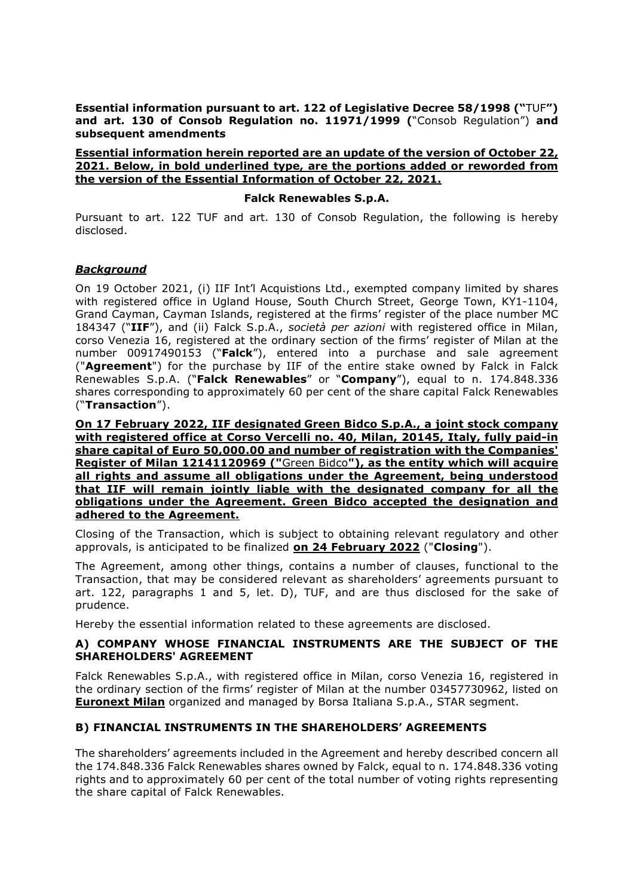Essential information pursuant to art. 122 of Legislative Decree 58/1998 ("TUF") and art. 130 of Consob Regulation no. 11971/1999 ("Consob Regulation") and subsequent amendments

#### Essential information herein reported are an update of the version of October 22, 2021. Below, in bold underlined type, are the portions added or reworded from the version of the Essential Information of October 22, 2021.

#### Falck Renewables S.p.A.

Pursuant to art. 122 TUF and art. 130 of Consob Regulation, the following is hereby disclosed.

### **Background**

On 19 October 2021, (i) IIF Int'l Acquistions Ltd., exempted company limited by shares with registered office in Ugland House, South Church Street, George Town, KY1-1104, Grand Cayman, Cayman Islands, registered at the firms' register of the place number MC 184347 ("IIF"), and (ii) Falck S.p.A., società per azioni with registered office in Milan, corso Venezia 16, registered at the ordinary section of the firms' register of Milan at the number 00917490153 ("Falck"), entered into a purchase and sale agreement ("Agreement") for the purchase by IIF of the entire stake owned by Falck in Falck Renewables S.p.A. ("Falck Renewables" or "Company"), equal to n. 174.848.336 shares corresponding to approximately 60 per cent of the share capital Falck Renewables ("Transaction").

On 17 February 2022, IIF designated Green Bidco S.p.A., a joint stock company with registered office at Corso Vercelli no. 40, Milan, 20145, Italy, fully paid-in share capital of Euro 50,000.00 and number of registration with the Companies' Register of Milan 12141120969 ("Green Bidco"), as the entity which will acquire all rights and assume all obligations under the Agreement, being understood that IIF will remain jointly liable with the designated company for all the obligations under the Agreement. Green Bidco accepted the designation and adhered to the Agreement.

Closing of the Transaction, which is subject to obtaining relevant regulatory and other approvals, is anticipated to be finalized on 24 February 2022 ("Closing").

The Agreement, among other things, contains a number of clauses, functional to the Transaction, that may be considered relevant as shareholders' agreements pursuant to art. 122, paragraphs 1 and 5, let. D), TUF, and are thus disclosed for the sake of prudence.

Hereby the essential information related to these agreements are disclosed.

### A) COMPANY WHOSE FINANCIAL INSTRUMENTS ARE THE SUBJECT OF THE SHAREHOLDERS' AGREEMENT

Falck Renewables S.p.A., with registered office in Milan, corso Venezia 16, registered in the ordinary section of the firms' register of Milan at the number 03457730962, listed on **Euronext Milan** organized and managed by Borsa Italiana S.p.A., STAR segment.

### B) FINANCIAL INSTRUMENTS IN THE SHAREHOLDERS' AGREEMENTS

The shareholders' agreements included in the Agreement and hereby described concern all the 174.848.336 Falck Renewables shares owned by Falck, equal to n. 174.848.336 voting rights and to approximately 60 per cent of the total number of voting rights representing the share capital of Falck Renewables.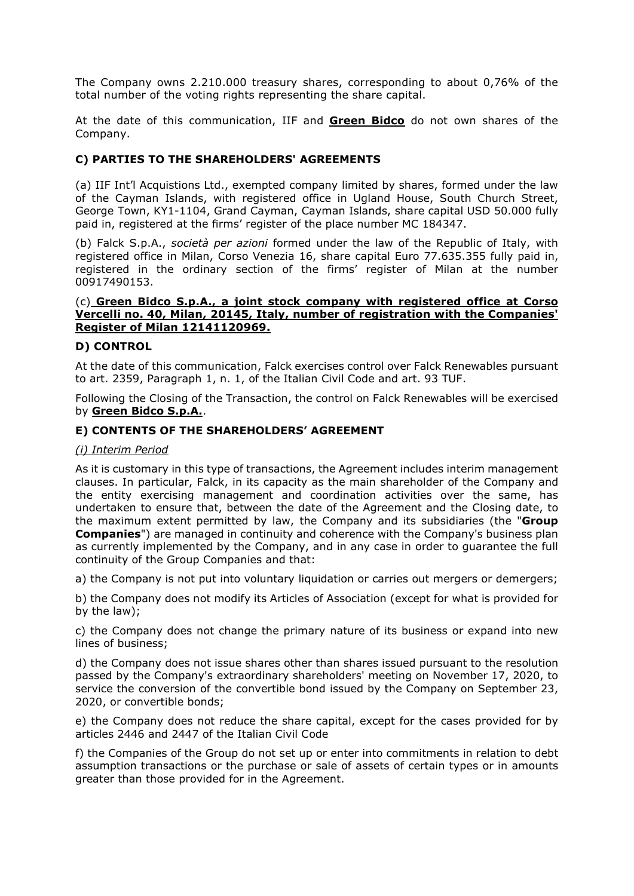The Company owns 2.210.000 treasury shares, corresponding to about 0,76% of the total number of the voting rights representing the share capital.

At the date of this communication, IIF and Green Bidco do not own shares of the Company.

## C) PARTIES TO THE SHAREHOLDERS' AGREEMENTS

(a) IIF Int'l Acquistions Ltd., exempted company limited by shares, formed under the law of the Cayman Islands, with registered office in Ugland House, South Church Street, George Town, KY1-1104, Grand Cayman, Cayman Islands, share capital USD 50.000 fully paid in, registered at the firms' register of the place number MC 184347.

(b) Falck S.p.A., società per azioni formed under the law of the Republic of Italy, with registered office in Milan, Corso Venezia 16, share capital Euro 77.635.355 fully paid in, registered in the ordinary section of the firms' register of Milan at the number 00917490153.

#### (c) Green Bidco S.p.A., a joint stock company with registered office at Corso Vercelli no. 40, Milan, 20145, Italy, number of registration with the Companies' Register of Milan 12141120969.

### D) CONTROL

At the date of this communication, Falck exercises control over Falck Renewables pursuant to art. 2359, Paragraph 1, n. 1, of the Italian Civil Code and art. 93 TUF.

Following the Closing of the Transaction, the control on Falck Renewables will be exercised by Green Bidco S.p.A..

## E) CONTENTS OF THE SHAREHOLDERS' AGREEMENT

### (i) Interim Period

As it is customary in this type of transactions, the Agreement includes interim management clauses. In particular, Falck, in its capacity as the main shareholder of the Company and the entity exercising management and coordination activities over the same, has undertaken to ensure that, between the date of the Agreement and the Closing date, to the maximum extent permitted by law, the Company and its subsidiaries (the "Group Companies") are managed in continuity and coherence with the Company's business plan as currently implemented by the Company, and in any case in order to guarantee the full continuity of the Group Companies and that:

a) the Company is not put into voluntary liquidation or carries out mergers or demergers;

b) the Company does not modify its Articles of Association (except for what is provided for by the law);

c) the Company does not change the primary nature of its business or expand into new lines of business;

d) the Company does not issue shares other than shares issued pursuant to the resolution passed by the Company's extraordinary shareholders' meeting on November 17, 2020, to service the conversion of the convertible bond issued by the Company on September 23, 2020, or convertible bonds;

e) the Company does not reduce the share capital, except for the cases provided for by articles 2446 and 2447 of the Italian Civil Code

f) the Companies of the Group do not set up or enter into commitments in relation to debt assumption transactions or the purchase or sale of assets of certain types or in amounts greater than those provided for in the Agreement.